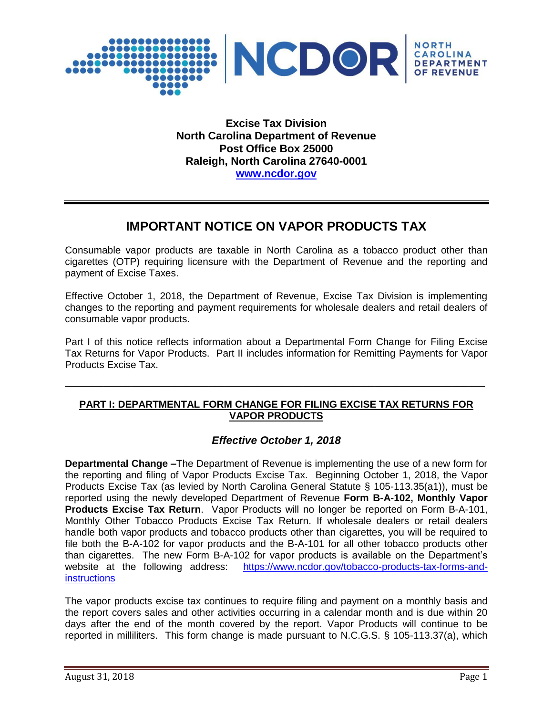

**Excise Tax Division North Carolina Department of Revenue Post Office Box 25000 Raleigh, North Carolina 27640-0001 [www.ncdor.gov](http://www.ncdor.gov/)**

## **IMPORTANT NOTICE ON VAPOR PRODUCTS TAX**

Consumable vapor products are taxable in North Carolina as a tobacco product other than cigarettes (OTP) requiring licensure with the Department of Revenue and the reporting and payment of Excise Taxes.

Effective October 1, 2018, the Department of Revenue, Excise Tax Division is implementing changes to the reporting and payment requirements for wholesale dealers and retail dealers of consumable vapor products.

Part I of this notice reflects information about a Departmental Form Change for Filing Excise Tax Returns for Vapor Products. Part II includes information for Remitting Payments for Vapor Products Excise Tax.

\_\_\_\_\_\_\_\_\_\_\_\_\_\_\_\_\_\_\_\_\_\_\_\_\_\_\_\_\_\_\_\_\_\_\_\_\_\_\_\_\_\_\_\_\_\_\_\_\_\_\_\_\_\_\_\_\_\_\_\_\_\_\_\_\_\_\_\_\_\_\_\_\_\_\_\_

## **PART I: DEPARTMENTAL FORM CHANGE FOR FILING EXCISE TAX RETURNS FOR VAPOR PRODUCTS**

## *Effective October 1, 2018*

**Departmental Change –**The Department of Revenue is implementing the use of a new form for the reporting and filing of Vapor Products Excise Tax. Beginning October 1, 2018, the Vapor Products Excise Tax (as levied by North Carolina General Statute § 105-113.35(a1)), must be reported using the newly developed Department of Revenue **Form B-A-102, Monthly Vapor Products Excise Tax Return**. Vapor Products will no longer be reported on Form B-A-101, Monthly Other Tobacco Products Excise Tax Return. If wholesale dealers or retail dealers handle both vapor products and tobacco products other than cigarettes, you will be required to file both the B-A-102 for vapor products and the B-A-101 for all other tobacco products other than cigarettes. The new Form B-A-102 for vapor products is available on the Department's website at the following address: [https://www.ncdor.gov/tobacco-products-tax-forms-and](https://www.ncdor.gov/tobacco-products-tax-forms-and-instructions)**[instructions](https://www.ncdor.gov/tobacco-products-tax-forms-and-instructions)** 

The vapor products excise tax continues to require filing and payment on a monthly basis and the report covers sales and other activities occurring in a calendar month and is due within 20 days after the end of the month covered by the report. Vapor Products will continue to be reported in milliliters. This form change is made pursuant to N.C.G.S. § 105-113.37(a), which